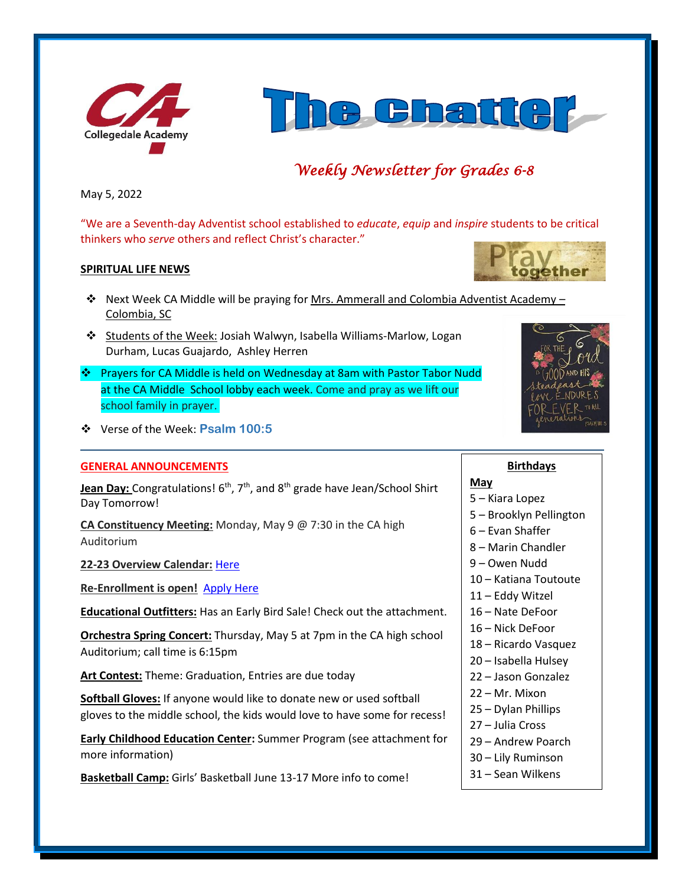



# *Weekly Newsletter for Grades 6-8*

May 5, 2022

"We are a Seventh-day Adventist school established to *educate*, *equip* and *inspire* students to be critical thinkers who *serve* others and reflect Christ's character."

## **SPIRITUAL LIFE NEWS**

- ❖ Next Week CA Middle will be praying for Mrs. Ammerall and Colombia Adventist Academy Colombia, SC
- ❖ Students of the Week: Josiah Walwyn, Isabella Williams-Marlow, Logan Durham, Lucas Guajardo, Ashley Herren
- ❖ Prayers for CA Middle is held on Wednesday at 8am with Pastor Tabor Nudd at the CA Middle School lobby each week. Come and pray as we lift our school family in prayer.



## ❖ Verse of the Week: **Psalm 100:5**

#### **GENERAL ANNOUNCEMENTS**

**Jean Day:** Congratulations! 6<sup>th</sup>, 7<sup>th</sup>, and 8<sup>th</sup> grade have Jean/School Shirt Day Tomorrow!

**CA Constituency Meeting:** Monday, May 9 @ 7:30 in the CA high Auditorium

**22-23 Overview Calendar:** [Here](https://www.collegedaleacademy.com/wp-content/uploads/2022/04/2022-23-Overview-Calendar-middle.pdf)

**Re-Enrollment is open!** [Apply Here](http://collegedaleacademy.com/apply)

**Educational Outfitters:** Has an Early Bird Sale! Check out the attachment.

**Orchestra Spring Concert:** Thursday, May 5 at 7pm in the CA high school Auditorium; call time is 6:15pm

**Art Contest:** Theme: Graduation, Entries are due today

**Softball Gloves:** If anyone would like to donate new or used softball gloves to the middle school, the kids would love to have some for recess!

**Early Childhood Education Center:** Summer Program (see attachment for more information)

**Basketball Camp:** Girls' Basketball June 13-17 More info to come!

#### **Birthdays**

#### **May**

#### 5 – Kiara Lopez

- 5 Brooklyn Pellington
- 6 Evan Shaffer
- 8 Marin Chandler
- 9 Owen Nudd
- 10 Katiana Toutoute
- 11 Eddy Witzel
- 16 Nate DeFoor
- 16 Nick DeFoor
- 18 Ricardo Vasquez
- 20 Isabella Hulsey
- 22 Jason Gonzalez
- 22 Mr. Mixon
- 25 Dylan Phillips
- 27 Julia Cross
- 29 Andrew Poarch
- 30 Lily Ruminson
- 31 Sean Wilkens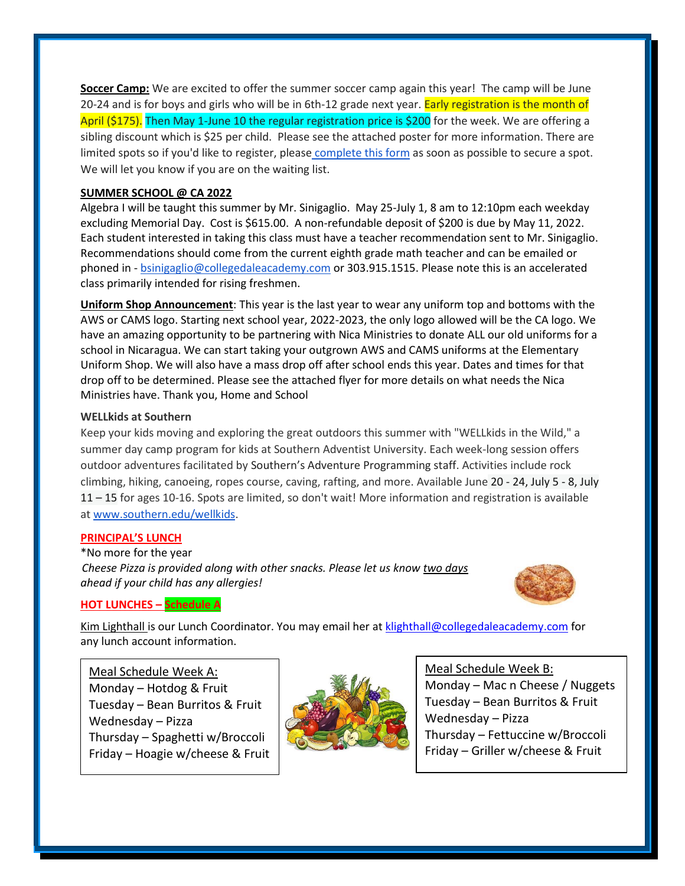**Soccer Camp:** We are excited to offer the summer soccer camp again this year! The camp will be June 20-24 and is for boys and girls who will be in 6th-12 grade next year. Early registration is the month of April (\$175). Then May 1-June 10 the regular registration price is \$200 for the week. We are offering a sibling discount which is \$25 per child. Please see the attached poster for more information. There are limited spots so if you'd like to register, please [complete this form](https://forms.gle/cvV8zJutoMjgpXwMA) as soon as possible to secure a spot. We will let you know if you are on the waiting list.

## **SUMMER SCHOOL @ CA 2022**

Algebra I will be taught this summer by Mr. Sinigaglio. May 25-July 1, 8 am to 12:10pm each weekday excluding Memorial Day. Cost is \$615.00. A non-refundable deposit of \$200 is due by May 11, 2022. Each student interested in taking this class must have a teacher recommendation sent to Mr. Sinigaglio. Recommendations should come from the current eighth grade math teacher and can be emailed or phoned in - [bsinigaglio@collegedaleacademy.com](mailto:bsinigaglio@collegedaleacademy.com) or 303.915.1515. Please note this is an accelerated class primarily intended for rising freshmen.

**Uniform Shop Announcement**: This year is the last year to wear any uniform top and bottoms with the AWS or CAMS logo. Starting next school year, 2022-2023, the only logo allowed will be the CA logo. We have an amazing opportunity to be partnering with Nica Ministries to donate ALL our old uniforms for a school in Nicaragua. We can start taking your outgrown AWS and CAMS uniforms at the Elementary Uniform Shop. We will also have a mass drop off after school ends this year. Dates and times for that drop off to be determined. Please see the attached flyer for more details on what needs the Nica Ministries have. Thank you, Home and School

#### **WELLkids at Southern**

Keep your kids moving and exploring the great outdoors this summer with "WELLkids in the Wild," a summer day camp program for kids at Southern Adventist University. Each week-long session offers outdoor adventures facilitated by Southern's Adventure Programming staff. Activities include rock climbing, hiking, canoeing, ropes course, caving, rafting, and more. Available June 20 - 24, July 5 - 8, July 11 – 15 for ages 10-16. Spots are limited, so don't wait! More information and registration is available at [www.southern.edu/wellkids.](http://www.southern.edu/wellkids)

#### **PRINCIPAL'S LUNCH**

\*No more for the year *Cheese Pizza is provided along with other snacks. Please let us know two days ahead if your child has any allergies!*



#### **HOT LUNCHES – Schedule A**

Kim Lighthall is our Lunch Coordinator. You may email her a[t klighthall@collegedaleacademy.com](mailto:klighthall@collegedaleacademy.com) for any lunch account information.

Meal Schedule Week A: Monday – Hotdog & Fruit Tuesday – Bean Burritos & Fruit Wednesday – Pizza Thursday – Spaghetti w/Broccoli Friday – Hoagie w/cheese & Fruit



Meal Schedule Week B:

Monday – Mac n Cheese / Nuggets Tuesday – Bean Burritos & Fruit Wednesday – Pizza Thursday – Fettuccine w/Broccoli Friday – Griller w/cheese & Fruit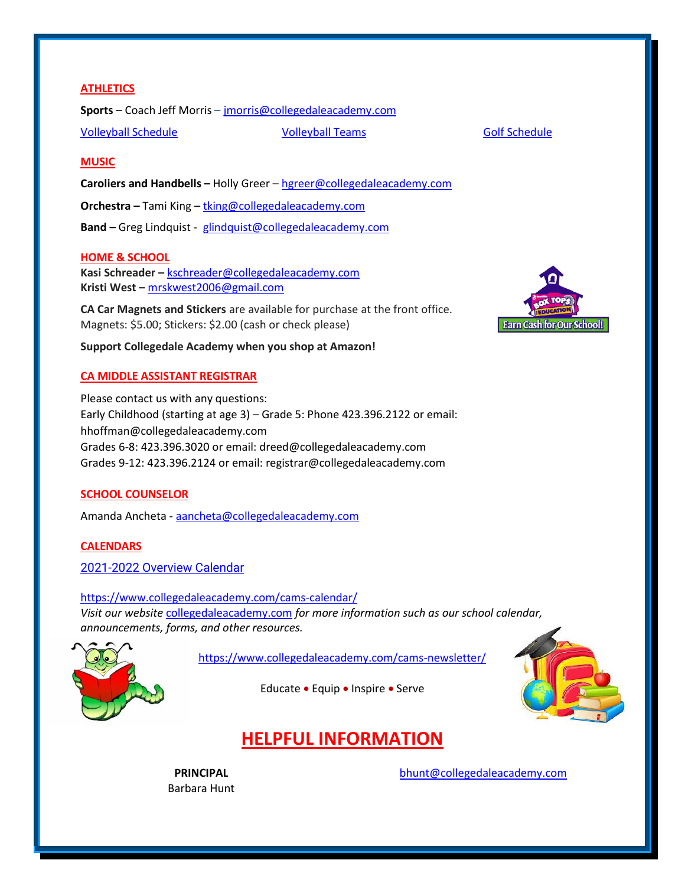## **ATHLETICS**

**Sports** – Coach Jeff Morris – [jmorris@collegedaleacademy.com](mailto:jmorris@collegedaleacademy.com)

[Volleyball Schedule](https://www.collegedaleacademy.com/wp-content/uploads/2022/02/2022-Volleyball-schedule.pdf) [Volleyball Teams](https://www.collegedaleacademy.com/wp-content/uploads/2022/02/2021-2022-Volleyball-Teams-1.pdf) [Golf Schedule](https://www.collegedaleacademy.com/wp-content/uploads/2022/03/2022-ISC-Golf-Schedule.pdf)

## **MUSIC**

**Caroliers and Handbells –** Holly Greer – [hgreer@collegedaleacademy.com](mailto:hgreer@collegedaleacademy.com)

**Orchestra –** Tami King – [tking@collegedaleacademy.com](mailto:tking@collegedaleacademy.com)

**Band –** Greg Lindquist - [glindquist@collegedaleacademy.com](mailto:glindquist@collegedaleacademy.com)

## **HOME & SCHOOL**

**Kasi Schreader –** [kschreader@collegedaleacademy.com](mailto:kschreader@collegedaleacademy.com) **Kristi West –** [mrskwest2006@gmail.com](mailto:mrskwest2006@gmail.com)

**CA Car Magnets and Stickers** are available for purchase at the front office. Magnets: \$5.00; Stickers: \$2.00 (cash or check please)

**Support Collegedale Academy when you shop at Amazon!**

## **CA MIDDLE ASSISTANT REGISTRAR**

Please contact us with any questions: Early Childhood (starting at age 3) – Grade 5: Phone 423.396.2122 or email: hhoffman@collegedaleacademy.com Grades 6-8: 423.396.3020 or email: dreed@collegedaleacademy.com Grades 9-12: 423.396.2124 or email: registrar@collegedaleacademy.com

#### **SCHOOL COUNSELOR**

Amanda Ancheta - [aancheta@collegedaleacademy.com](mailto:aancheta@collegedaleacademy.com)

## **CALENDARS**

2021-2022 [Overview Calendar](https://www.collegedaleacademy.com/wp-content/uploads/2021/07/2021-22-Overview-Calendar-middle.pdf)

<https://www.collegedaleacademy.com/cams-calendar/> *Visit our website* [collegedaleacademy.com](https://www.collegedaleacademy.com/) *for more information such as our school calendar, announcements, forms, and other resources.*

<https://www.collegedaleacademy.com/cams-newsletter/>





# **HELPFUL INFORMATION**

**PRINCIPAL** Barbara Hunt [bhunt@collegedaleacademy.com](mailto:bhunt@collegedaleacademy.com)